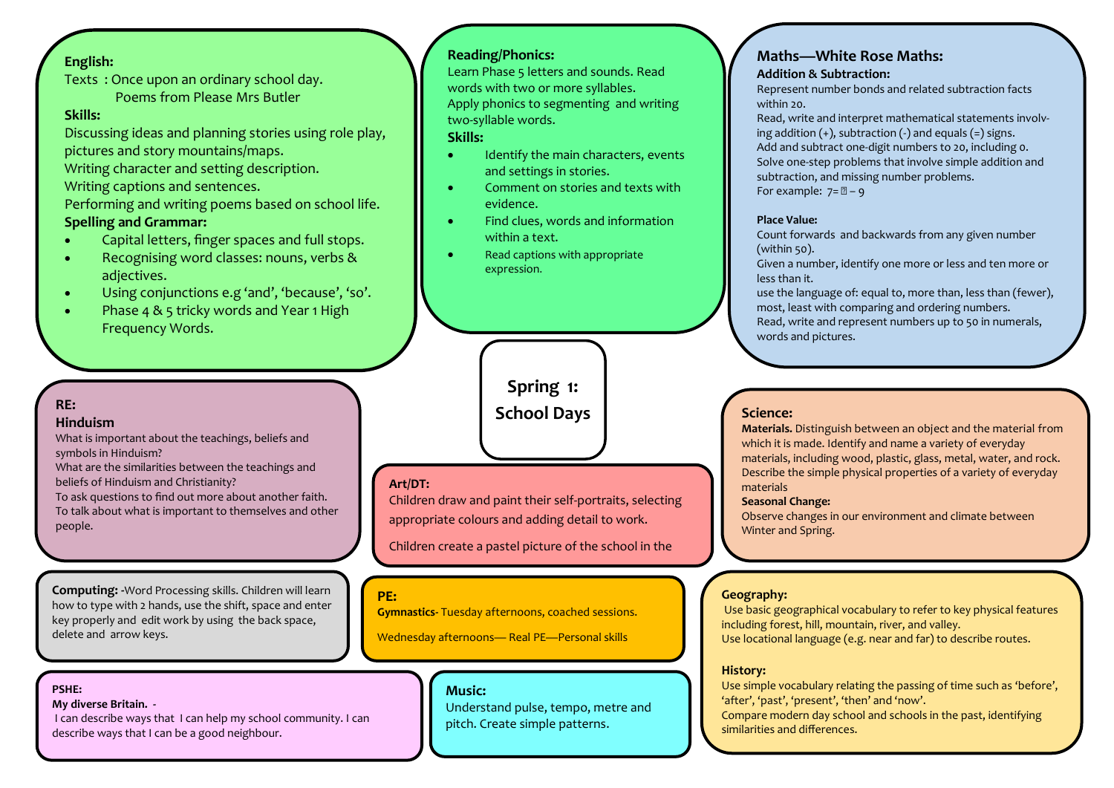## **English:**

Texts : Once upon an ordinary school day. Poems from Please Mrs Butler

## **Skills:**

Discussing ideas and planning stories using role play, pictures and story mountains/maps. Writing character and setting description. Writing captions and sentences. Performing and writing poems based on school life.

## **Spelling and Grammar:**

- Capital letters, finger spaces and full stops.
- Recognising word classes: nouns, verbs & adjectives.
- Using conjunctions e.g 'and', 'because', 'so'.
- Phase 4 & 5 tricky words and Year 1 High Frequency Words.

## **RE:**

#### **Hinduism**

What is important about the teachings, beliefs and symbols in Hinduism?

What are the similarities between the teachings and beliefs of Hinduism and Christianity?

To ask questions to find out more about another faith. To talk about what is important to themselves and other people.

**Computing: -**Word Processing skills. Children will learn how to type with 2 hands, use the shift, space and enter key properly and edit work by using the back space, delete and arrow keys.

## **PSHE:**

**My diverse Britain. -**

I can describe ways that I can help my school community. I can describe ways that I can be a good neighbour.

## **Reading/Phonics:**

Learn Phase 5 letters and sounds. Read words with two or more syllables. Apply phonics to segmenting and writing two-syllable words.

#### **Skills:**

- Identify the main characters, events and settings in stories.
- Comment on stories and texts with evidence.
- Find clues, words and information within a text.
- Read captions with appropriate expression.

# **Spring 1: School Days**

## **Art/DT:**

Children draw and paint their self-portraits, selecting appropriate colours and adding detail to work.

Children create a pastel picture of the school in the

#### **PE:**

**Gymnastics-** Tuesday afternoons, coached sessions.

#### Wednesday afternoons— Real PE—Personal skills

#### **Music:**

Understand pulse, tempo, metre and pitch. Create simple patterns.

#### **Maths—White Rose Maths: Addition & Subtraction:**

Represent number bonds and related subtraction facts within 20.

Read, write and interpret mathematical statements involving addition  $(+)$ , subtraction  $(-)$  and equals  $(=)$  signs. Add and subtract one-digit numbers to 20, including 0. Solve one-step problems that involve simple addition and subtraction, and missing number problems. For example:  $7 = 2 - 9$ 

#### **Place Value:**

Count forwards and backwards from any given number (within 50).

Given a number, identify one more or less and ten more or less than it.

use the language of: equal to, more than, less than (fewer), most, least with comparing and ordering numbers. Read, write and represent numbers up to 50 in numerals, words and pictures.

#### **Science:**

**Materials.** Distinguish between an object and the material from which it is made. Identify and name a variety of everyday materials, including wood, plastic, glass, metal, water, and rock. Describe the simple physical properties of a variety of everyday materials

#### **Seasonal Change:**

Observe changes in our environment and climate between Winter and Spring.

#### **Geography:**

Use basic geographical vocabulary to refer to key physical features including forest, hill, mountain, river, and valley. Use locational language (e.g. near and far) to describe routes.

#### **History:**

Use simple vocabulary relating the passing of time such as 'before', 'after', 'past', 'present', 'then' and 'now'. Compare modern day school and schools in the past, identifying similarities and differences.